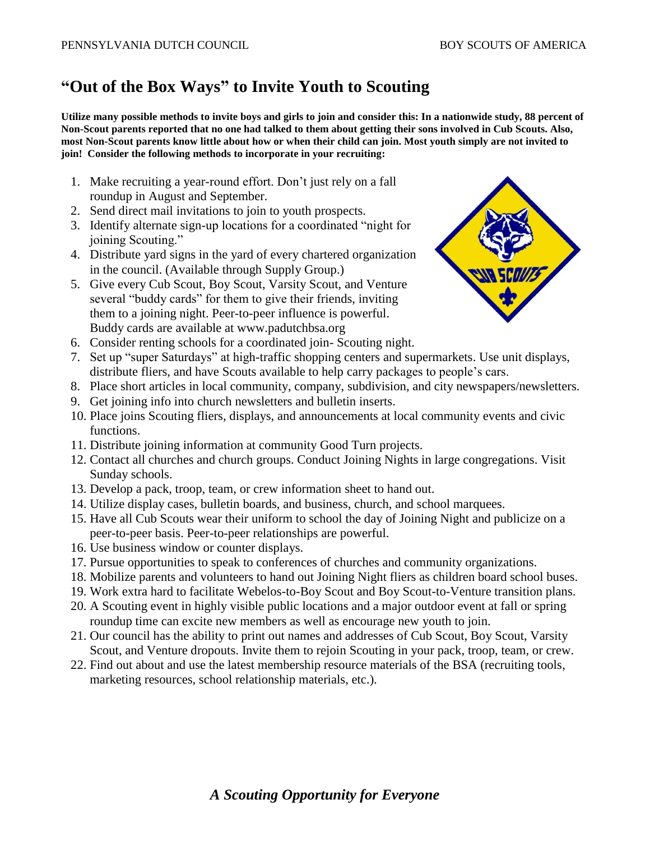## **"Out of the Box Ways" to Invite Youth to Scouting**

**Utilize many possible methods to invite boys and girls to join and consider this: In a nationwide study, 88 percent of Non-Scout parents reported that no one had talked to them about getting their sons involved in Cub Scouts. Also, most Non-Scout parents know little about how or when their child can join. Most youth simply are not invited to join! Consider the following methods to incorporate in your recruiting:**

- 1. Make recruiting a year-round effort. Don't just rely on a fall roundup in August and September.
- 2. Send direct mail invitations to join to youth prospects.
- 3. Identify alternate sign-up locations for a coordinated "night for joining Scouting."
- 4. Distribute yard signs in the yard of every chartered organization in the council. (Available through Supply Group.)
- 5. Give every Cub Scout, Boy Scout, Varsity Scout, and Venture several "buddy cards" for them to give their friends, inviting them to a joining night. Peer-to-peer influence is powerful. Buddy cards are available at www.padutchbsa.org



- 6. Consider renting schools for a coordinated join- Scouting night.
- 7. Set up "super Saturdays" at high-traffic shopping centers and supermarkets. Use unit displays, distribute fliers, and have Scouts available to help carry packages to people's cars.
- 8. Place short articles in local community, company, subdivision, and city newspapers/newsletters.
- 9. Get joining info into church newsletters and bulletin inserts.
- 10. Place joins Scouting fliers, displays, and announcements at local community events and civic functions.
- 11. Distribute joining information at community Good Turn projects.
- 12. Contact all churches and church groups. Conduct Joining Nights in large congregations. Visit Sunday schools.
- 13. Develop a pack, troop, team, or crew information sheet to hand out.
- 14. Utilize display cases, bulletin boards, and business, church, and school marquees.
- 15. Have all Cub Scouts wear their uniform to school the day of Joining Night and publicize on a peer-to-peer basis. Peer-to-peer relationships are powerful.
- 16. Use business window or counter displays.
- 17. Pursue opportunities to speak to conferences of churches and community organizations.
- 18. Mobilize parents and volunteers to hand out Joining Night fliers as children board school buses.
- 19. Work extra hard to facilitate Webelos-to-Boy Scout and Boy Scout-to-Venture transition plans.
- 20. A Scouting event in highly visible public locations and a major outdoor event at fall or spring roundup time can excite new members as well as encourage new youth to join.
- 21. Our council has the ability to print out names and addresses of Cub Scout, Boy Scout, Varsity Scout, and Venture dropouts. Invite them to rejoin Scouting in your pack, troop, team, or crew.
- 22. Find out about and use the latest membership resource materials of the BSA (recruiting tools, marketing resources, school relationship materials, etc.).